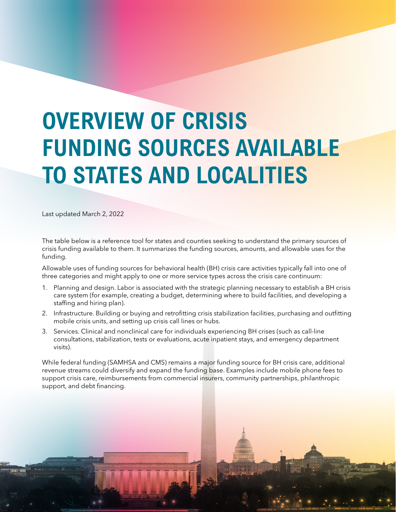# **OVERVIEW OF CRISIS FUNDING SOURCES AVAILABLE TO STATES AND LOCALITIES**

Last updated March 2, 2022

The table below is a reference tool for states and counties seeking to understand the primary sources of crisis funding available to them. It summarizes the funding sources, amounts, and allowable uses for the funding.

Allowable uses of funding sources for behavioral health (BH) crisis care activities typically fall into one of three categories and might apply to one or more service types across the crisis care continuum:

- 1. Planning and design. Labor is associated with the strategic planning necessary to establish a BH crisis care system (for example, creating a budget, determining where to build facilities, and developing a staffing and hiring plan).
- 2. Infrastructure. Building or buying and retrofitting crisis stabilization facilities, purchasing and outfitting mobile crisis units, and setting up crisis call lines or hubs.
- 3. Services. Clinical and nonclinical care for individuals experiencing BH crises (such as call-line consultations, stabilization, tests or evaluations, acute inpatient stays, and emergency department visits).

While federal funding (SAMHSA and CMS) remains a major funding source for BH crisis care, additional revenue streams could diversify and expand the funding base. Examples include mobile phone fees to support crisis care, reimbursements from commercial insurers, community partnerships, philanthropic support, and debt financing.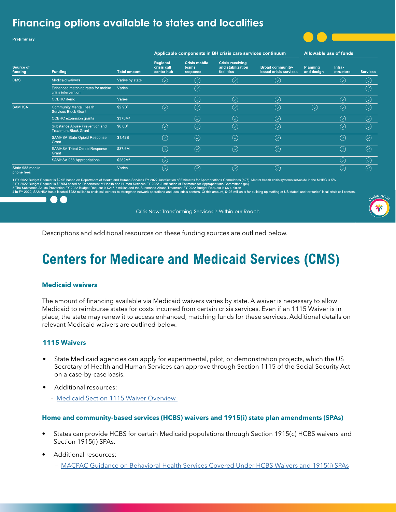### Financing options available to states and localities

Preliminary

### Applicable components in BH crisis care services continuum

**Allowable use of funds** 

| Source of<br>funding           | Funding                                                        | <b>Total amount</b> |                                       |                                           |                                                            |                                                  |                               |                     |                 |
|--------------------------------|----------------------------------------------------------------|---------------------|---------------------------------------|-------------------------------------------|------------------------------------------------------------|--------------------------------------------------|-------------------------------|---------------------|-----------------|
|                                |                                                                |                     | Regional<br>crisis call<br>center hub | <b>Crisis mobile</b><br>teams<br>response | <b>Crisis receiving</b><br>and stabilization<br>facilities | <b>Broad community-</b><br>based crisis services | <b>Planning</b><br>and design | Infra-<br>structure | <b>Services</b> |
| <b>CMS</b>                     | <b>Medicaid waivers</b>                                        | Varies by state     | $(\vee)$                              | $(\small \checkmark)$                     | $(\checkmark)$                                             | $(\!\mathcal{S}\!)$                              |                               | $(\checkmark)$      | $(\checkmark)$  |
|                                | Enhanced matching rates for mobile<br>crisis intervention      | Varies              |                                       | $(\vee)$                                  |                                                            |                                                  |                               |                     | $\oslash$       |
|                                | <b>CCBHC</b> demo                                              | Varies              |                                       | $(\vee)$                                  | $(\checkmark)$                                             | $(\swarrow)$                                     |                               | $(\checkmark)$      | $(\checkmark)$  |
| <b>SAMHSA</b>                  | <b>Community Mental Health</b><br><b>Services Block Grant</b>  | \$2.9B <sup>1</sup> | $(\checkmark)$                        | $(\vee)$                                  | $(\checkmark)$                                             | $\oslash$                                        | $\mathcal{S}$                 | $(\vee)$            | $\mathcal{S}$   |
|                                | <b>CCBHC</b> expansion grants                                  | \$375M <sup>2</sup> |                                       | $(\checkmark)$                            | $(\checkmark)$                                             | $\oslash$                                        |                               | $(\vee)$            | $(\vee)$        |
|                                | Substance Abuse Prevention and<br><b>Treatment Block Grant</b> | \$6.6B <sup>3</sup> | $(\vee)$                              | $(\vee)$                                  | $(\!\mathcal{S}\!)$                                        | $\oslash$                                        |                               | $(\vee)$            | $(\vee)$        |
|                                | <b>SAMHSA State Opioid Response</b><br>Grant                   | \$1.42B             | $(\checkmark)$                        | $(\checkmark)$                            | $(\checkmark)$                                             | ⊘                                                |                               | $(\checkmark)$      | $(\checkmark)$  |
|                                | <b>SAMHSA Tribal Opioid Response</b><br>Grant                  | \$37.6M             | $\bigcirc$                            | $(\vee)$                                  | $(\!\mathcal{S}\!)$                                        | $\oslash$                                        |                               | $(\mathcal{S})$     | $(\vee)$        |
|                                | <b>SAMHSA 988 Appropriations</b>                               | \$282M4             | $(\vee)$                              |                                           |                                                            |                                                  |                               | $(\vee)$            | $(\vee)$        |
| State 988 mobile<br>phone fees |                                                                | Varies              | $(\checkmark)$                        | $(\checkmark)$                            | $(\checkmark)$                                             | Y)                                               |                               | $(\checkmark)$      | $\mathcal{S}$   |

priations Committees (p27). Mental health crisis systems set-aside in the MHBG is 5% 22 Budget Request is \$2.9B based on Depart ent of Health and Human Services FY 2022 Justif

propriations Committees (p4)<br>ppropriations Committees (p4)<br>et Request is \$6.4 billion

1 In FY 2022, SAMHSA has allocated \$282 million to crisis call o s' local crisis call centers.

Crisis Now: Transforming Services is Within our Reach



Descriptions and additional resources on these funding sources are outlined below.

# **Centers for Medicare and Medicaid Services (CMS)**

### **Medicaid waivers**

The amount of financing available via Medicaid waivers varies by state. A waiver is necessary to allow Medicaid to reimburse states for costs incurred from certain crisis services. Even if an 1115 Waiver is in place, the state may renew it to access enhanced, matching funds for these services. Additional details on relevant Medicaid waivers are outlined below.

### **1115 Waivers**

- State Medicaid agencies can apply for experimental, pilot, or demonstration projects, which the US Secretary of Health and Human Services can approve through Section 1115 of the Social Security Act on a case-by-case basis.
- Additional resources:
	- [Medicaid Section 1115 Waiver Overview](https://www.medicaid.gov/medicaid/section-1115-demonstrations/about-section-1115-demonstrations/index.html)

### **Home and community-based services (HCBS) waivers and 1915(i) state plan amendments (SPAs)**

- States can provide HCBS for certain Medicaid populations through Section 1915(c) HCBS waivers and Section 1915(i) SPAs.
- Additional resources:
	- [MACPAC Guidance on Behavioral Health Services Covered Under HCBS Waivers and 1915\(i\) SPAs](https://www.macpac.gov/subtopic/behavioral-health-services-covered-under-hcbs-waivers-and-spas/)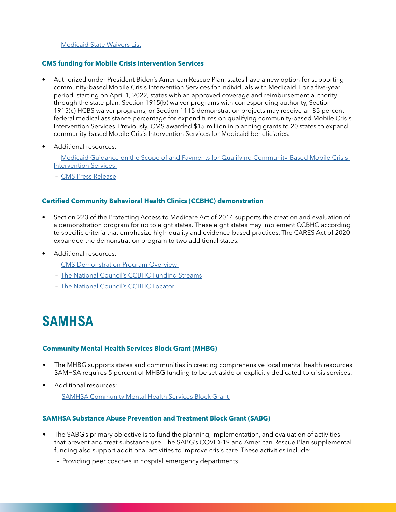### – [Medicaid State Waivers List](https://www.medicaid.gov/medicaid/section-1115-demo/demonstration-and-waiver-list/index.html)

### **CMS funding for Mobile Crisis Intervention Services**

- Authorized under President Biden's American Rescue Plan, states have a new option for supporting community-based Mobile Crisis Intervention Services for individuals with Medicaid. For a five-year period, starting on April 1, 2022, states with an approved coverage and reimbursement authority through the state plan, Section 1915(b) waiver programs with corresponding authority, Section 1915(c) HCBS waiver programs, or Section 1115 demonstration projects may receive an 85 percent federal medical assistance percentage for expenditures on qualifying community-based Mobile Crisis Intervention Services. Previously, CMS awarded \$15 million in planning grants to 20 states to expand community-based Mobile Crisis Intervention Services for Medicaid beneficiaries.
- Additional resources:

 – [Medicaid Guidance on the Scope of and Payments for Qualifying Community-Based Mobile Crisis](https://www.medicaid.gov/federal-policy-guidance/downloads/sho21008.pdf)  **Intervention Services** 

– [CMS Press Release](https://www.cms.gov/newsroom/press-releases/new-medicaid-option-promotes-enhanced-mental-health-substance-use-crisis-care)

### **Certified Community Behavioral Health Clinics (CCBHC) demonstration**

- Section 223 of the Protecting Access to Medicare Act of 2014 supports the creation and evaluation of a demonstration program for up to eight states. These eight states may implement CCBHC according to specific criteria that emphasize high-quality and evidence-based practices. The CARES Act of 2020 expanded the demonstration program to two additional states.
- Additional resources:
	- [CMS Demonstration Program Overview](https://www.medicaid.gov/medicaid/financial-management/section-223-demonstration-program-improve-community-mental-health-services/index.html)
	- [The National Council's CCBHC Funding Streams](https://www.thenationalcouncil.org/wp-content/uploads/2020/08/080520_NCBH_CCBHCFundingStreams_v3.pdf?daf=375ateTbd56)
	- [The National Council's CCBHC Locator](https://www.thenationalcouncil.org/ccbhc-success-center/ccbhc-locator/)

### **SAMHSA**

### **Community Mental Health Services Block Grant (MHBG)**

- The MHBG supports states and communities in creating comprehensive local mental health resources. SAMHSA requires 5 percent of MHBG funding to be set aside or explicitly dedicated to crisis services.
- Additional resources:
	- [SAMHSA Community Mental Health Services Block Grant](https://www.samhsa.gov/grants/block-grants/mhbg)

#### **SAMHSA Substance Abuse Prevention and Treatment Block Grant (SABG)**

- The SABG's primary objective is to fund the planning, implementation, and evaluation of activities that prevent and treat substance use. The SABG's COVID-19 and American Rescue Plan supplemental funding also support additional activities to improve crisis care. These activities include:
	- Providing peer coaches in hospital emergency departments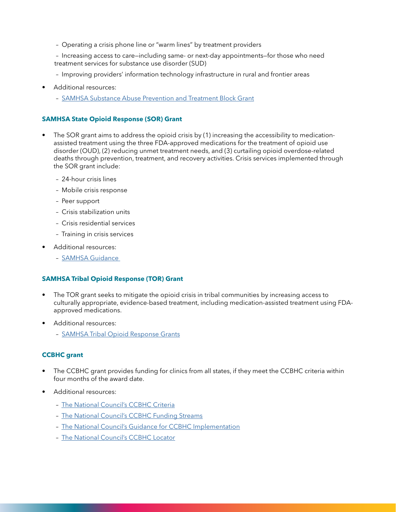– Operating a crisis phone line or "warm lines" by treatment providers

 – Increasing access to care—including same- or next-day appointments—for those who need treatment services for substance use disorder (SUD)

- Improving providers' information technology infrastructure in rural and frontier areas
- Additional resources:
	- [SAMHSA Substance Abuse Prevention and Treatment Block Grant](https://www.samhsa.gov/grants/block-grants/sabg)

### **SAMHSA State Opioid Response (SOR) Grant**

- The SOR grant aims to address the opioid crisis by (1) increasing the accessibility to medicationassisted treatment using the three FDA-approved medications for the treatment of opioid use disorder (OUD), (2) reducing unmet treatment needs, and (3) curtailing opioid overdose-related deaths through prevention, treatment, and recovery activities. Crisis services implemented through the SOR grant include:
	- 24-hour crisis lines
	- Mobile crisis response
	- Peer support
	- Crisis stabilization units
	- Crisis residential services
	- Training in crisis services
- Additional resources:
	- [SAMHSA Guidance](https://www.samhsa.gov/grants/grant-announcements/ti-20-012)

#### **SAMHSA Tribal Opioid Response (TOR) Grant**

- The TOR grant seeks to mitigate the opioid crisis in tribal communities by increasing access to culturally appropriate, evidence-based treatment, including medication-assisted treatment using FDAapproved medications.
- Additional resources:
	- [SAMHSA Tribal Opioid Response Grants](https://www.samhsa.gov/grants/grant-announcements/ti-21-007)

#### **CCBHC grant**

- The CCBHC grant provides funding for clinics from all states, if they meet the CCBHC criteria within four months of the award date.
- Additional resources:
	- [The National Council's CCBHC Criteria](https://www.samhsa.gov/sites/default/files/programs_campaigns/ccbhc-criteria.pdf)
	- [The National Council's CCBHC Funding Streams](https://www.thenationalcouncil.org/wp-content/uploads/2020/08/080520_NCBH_CCBHCFundingStreams_v3.pdf?daf=375ateTbd56)
	- [The National Council's Guidance for CCBHC Implementation](https://www.thenationalcouncil.org/ccbhc-success-center/implementation-support/for-current-and-prospective-ccbhcs/)
	- [The National Council's CCBHC Locator](https://www.thenationalcouncil.org/ccbhc-success-center/ccbhc-locator/)